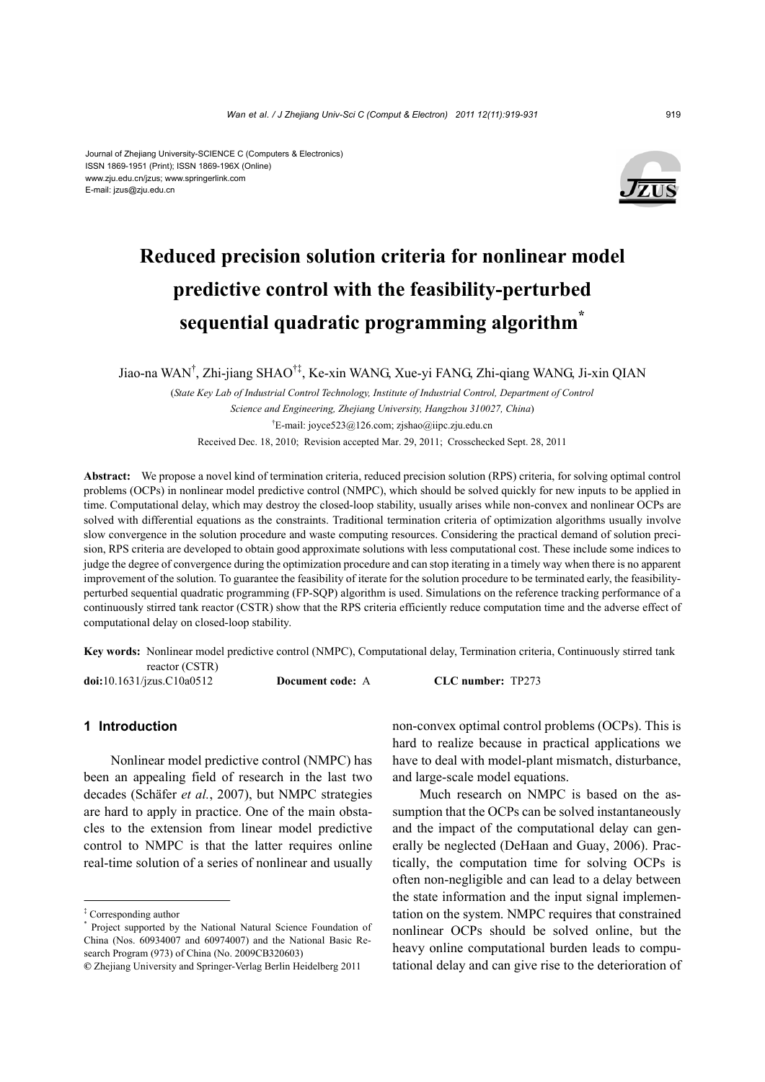#### Journal of Zhejiang University-SCIENCE C (Computers & Electronics) ISSN 1869-1951 (Print); ISSN 1869-196X (Online) www.zju.edu.cn/jzus; www.springerlink.com E-mail: jzus@zju.edu.cn



# **Reduced precision solution criteria for nonlinear model predictive control with the feasibility-perturbed sequential quadratic programming algorithm\***

Jiao-na WAN† , Zhi-jiang SHAO†‡, Ke-xin WANG, Xue-yi FANG, Zhi-qiang WANG, Ji-xin QIAN

(*State Key Lab of Industrial Control Technology, Institute of Industrial Control, Department of Control Science and Engineering, Zhejiang University, Hangzhou 310027, China*) † E-mail: joyce523@126.com; zjshao@iipc.zju.edu.cn Received Dec. 18, 2010; Revision accepted Mar. 29, 2011; Crosschecked Sept. 28, 2011

**Abstract:** We propose a novel kind of termination criteria, reduced precision solution (RPS) criteria, for solving optimal control problems (OCPs) in nonlinear model predictive control (NMPC), which should be solved quickly for new inputs to be applied in time. Computational delay, which may destroy the closed-loop stability, usually arises while non-convex and nonlinear OCPs are solved with differential equations as the constraints. Traditional termination criteria of optimization algorithms usually involve slow convergence in the solution procedure and waste computing resources. Considering the practical demand of solution precision, RPS criteria are developed to obtain good approximate solutions with less computational cost. These include some indices to judge the degree of convergence during the optimization procedure and can stop iterating in a timely way when there is no apparent improvement of the solution. To guarantee the feasibility of iterate for the solution procedure to be terminated early, the feasibilityperturbed sequential quadratic programming (FP-SQP) algorithm is used. Simulations on the reference tracking performance of a continuously stirred tank reactor (CSTR) show that the RPS criteria efficiently reduce computation time and the adverse effect of computational delay on closed-loop stability.

**Key words:** Nonlinear model predictive control (NMPC), Computational delay, Termination criteria, Continuously stirred tank reactor (CSTR) **doi:**10.1631/jzus.C10a0512 **Document code:** A **CLC number:** TP273

## **1 Introduction**

Nonlinear model predictive control (NMPC) has been an appealing field of research in the last two decades (Schäfer *et al.*, 2007), but NMPC strategies are hard to apply in practice. One of the main obstacles to the extension from linear model predictive control to NMPC is that the latter requires online real-time solution of a series of nonlinear and usually

non-convex optimal control problems (OCPs). This is hard to realize because in practical applications we have to deal with model-plant mismatch, disturbance, and large-scale model equations.

Much research on NMPC is based on the assumption that the OCPs can be solved instantaneously and the impact of the computational delay can generally be neglected (DeHaan and Guay, 2006). Practically, the computation time for solving OCPs is often non-negligible and can lead to a delay between the state information and the input signal implementation on the system. NMPC requires that constrained nonlinear OCPs should be solved online, but the heavy online computational burden leads to computational delay and can give rise to the deterioration of

<sup>‡</sup> Corresponding author

<sup>\*</sup> Project supported by the National Natural Science Foundation of China (Nos. 60934007 and 60974007) and the National Basic Research Program (973) of China (No. 2009CB320603)

**<sup>©</sup>** Zhejiang University and Springer-Verlag Berlin Heidelberg 2011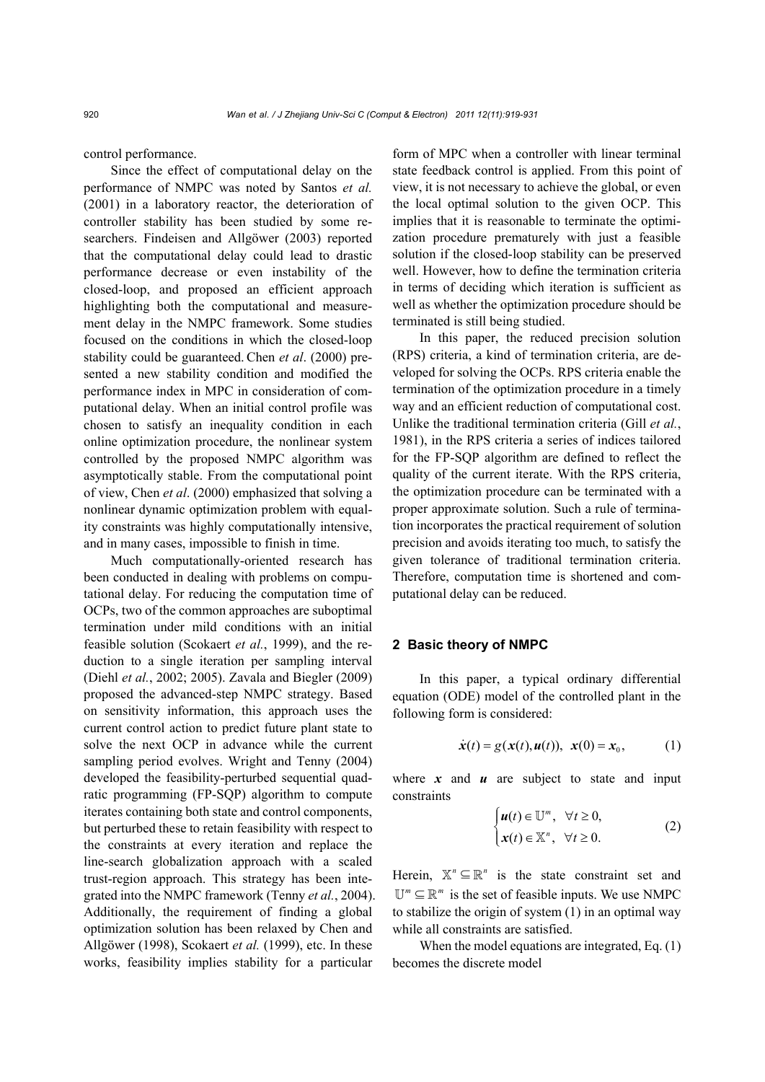control performance.

Since the effect of computational delay on the performance of NMPC was noted by Santos *et al.* (2001) in a laboratory reactor, the deterioration of controller stability has been studied by some researchers. Findeisen and Allgöwer (2003) reported that the computational delay could lead to drastic performance decrease or even instability of the closed-loop, and proposed an efficient approach highlighting both the computational and measurement delay in the NMPC framework. Some studies focused on the conditions in which the closed-loop stability could be guaranteed. Chen *et al*. (2000) presented a new stability condition and modified the performance index in MPC in consideration of computational delay. When an initial control profile was chosen to satisfy an inequality condition in each online optimization procedure, the nonlinear system controlled by the proposed NMPC algorithm was asymptotically stable. From the computational point of view, Chen *et al*. (2000) emphasized that solving a nonlinear dynamic optimization problem with equality constraints was highly computationally intensive, and in many cases, impossible to finish in time.

Much computationally-oriented research has been conducted in dealing with problems on computational delay. For reducing the computation time of OCPs, two of the common approaches are suboptimal termination under mild conditions with an initial feasible solution (Scokaert *et al.*, 1999), and the reduction to a single iteration per sampling interval (Diehl *et al.*, 2002; 2005). Zavala and Biegler (2009) proposed the advanced-step NMPC strategy. Based on sensitivity information, this approach uses the current control action to predict future plant state to solve the next OCP in advance while the current sampling period evolves. Wright and Tenny (2004) developed the feasibility-perturbed sequential quadratic programming (FP-SQP) algorithm to compute iterates containing both state and control components, but perturbed these to retain feasibility with respect to the constraints at every iteration and replace the line-search globalization approach with a scaled trust-region approach. This strategy has been integrated into the NMPC framework (Tenny *et al.*, 2004). Additionally, the requirement of finding a global optimization solution has been relaxed by Chen and Allgöwer (1998), Scokaert *et al.* (1999), etc. In these works, feasibility implies stability for a particular form of MPC when a controller with linear terminal state feedback control is applied. From this point of view, it is not necessary to achieve the global, or even the local optimal solution to the given OCP. This implies that it is reasonable to terminate the optimization procedure prematurely with just a feasible solution if the closed-loop stability can be preserved well. However, how to define the termination criteria in terms of deciding which iteration is sufficient as well as whether the optimization procedure should be terminated is still being studied.

In this paper, the reduced precision solution (RPS) criteria, a kind of termination criteria, are developed for solving the OCPs. RPS criteria enable the termination of the optimization procedure in a timely way and an efficient reduction of computational cost. Unlike the traditional termination criteria (Gill *et al.*, 1981), in the RPS criteria a series of indices tailored for the FP-SQP algorithm are defined to reflect the quality of the current iterate. With the RPS criteria, the optimization procedure can be terminated with a proper approximate solution. Such a rule of termination incorporates the practical requirement of solution precision and avoids iterating too much, to satisfy the given tolerance of traditional termination criteria. Therefore, computation time is shortened and computational delay can be reduced.

## **2 Basic theory of NMPC**

In this paper, a typical ordinary differential equation (ODE) model of the controlled plant in the following form is considered:

$$
\dot{x}(t) = g(x(t), u(t)), \ x(0) = x_0, \ (1)
$$

where  $x$  and  $u$  are subject to state and input constraints

$$
\begin{cases}\n\mathbf{u}(t) \in \mathbb{U}^m, & \forall t \ge 0, \\
\mathbf{x}(t) \in \mathbb{X}^n, & \forall t \ge 0.\n\end{cases}
$$
\n(2)

Herein,  $X^n \subseteq \mathbb{R}^n$  is the state constraint set and  $\mathbb{U}^m \subseteq \mathbb{R}^m$  is the set of feasible inputs. We use NMPC to stabilize the origin of system (1) in an optimal way while all constraints are satisfied.

When the model equations are integrated, Eq. (1) becomes the discrete model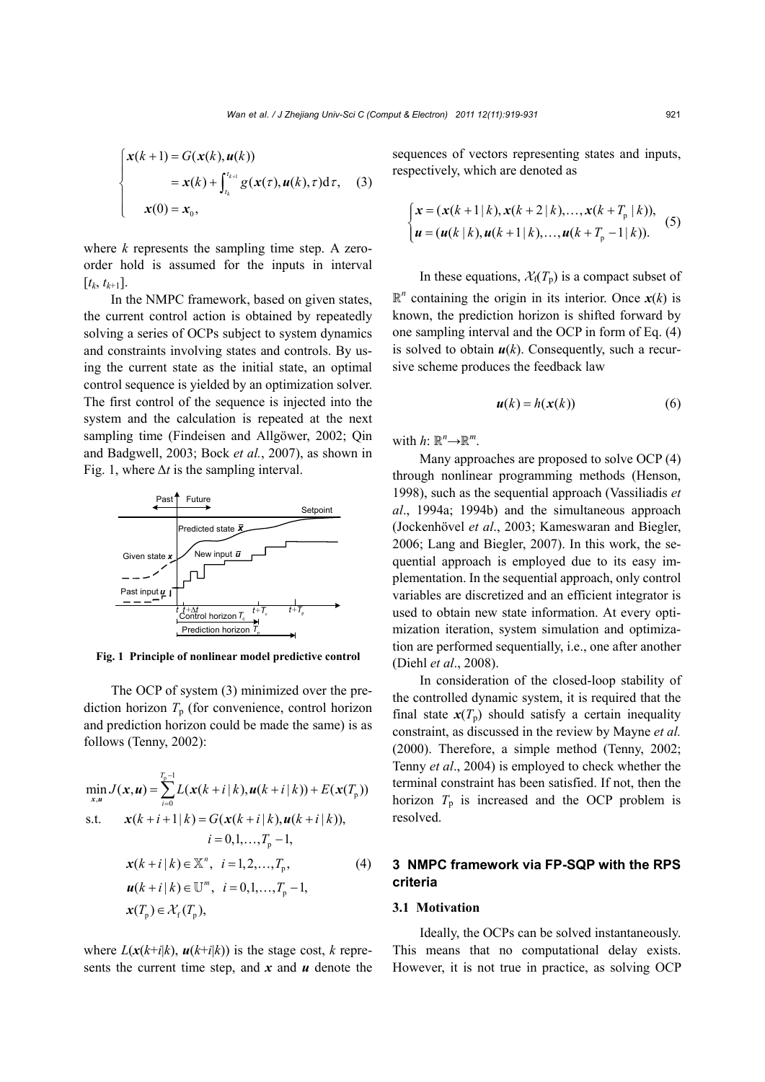$$
\begin{cases}\n\mathbf{x}(k+1) = G(\mathbf{x}(k), \mathbf{u}(k)) \\
= \mathbf{x}(k) + \int_{t_k}^{t_{k+1}} g(\mathbf{x}(\tau), \mathbf{u}(k), \tau) d\tau, \quad (3) \\
\mathbf{x}(0) = \mathbf{x}_0,\n\end{cases}
$$

where *k* represents the sampling time step. A zeroorder hold is assumed for the inputs in interval  $[t_k, t_{k+1}].$ 

In the NMPC framework, based on given states, the current control action is obtained by repeatedly solving a series of OCPs subject to system dynamics and constraints involving states and controls. By using the current state as the initial state, an optimal control sequence is yielded by an optimization solver. The first control of the sequence is injected into the system and the calculation is repeated at the next sampling time (Findeisen and Allgöwer, 2002; Qin and Badgwell, 2003; Bock *et al.*, 2007), as shown in Fig. 1, where  $\Delta t$  is the sampling interval.



**Fig. 1 Principle of nonlinear model predictive control**

The OCP of system (3) minimized over the prediction horizon  $T_p$  (for convenience, control horizon and prediction horizon could be made the same) is as follows (Tenny, 2002):

$$
\min_{x,u} J(x, u) = \sum_{i=0}^{T_{p}-1} L(x(k+i|k), u(k+i|k)) + E(x(T_{p}))
$$
  
s.t. 
$$
x(k+i+1|k) = G(x(k+i|k), u(k+i|k)),
$$

$$
i = 0, 1, ..., T_{p}-1,
$$

$$
x(k+i|k) \in \mathbb{X}^{n}, i = 1, 2, ..., T_{p},
$$

$$
u(k+i|k) \in \mathbb{U}^{m}, i = 0, 1, ..., T_{p}-1,
$$

$$
x(T_{p}) \in \mathcal{X}_{f}(T_{p}),
$$

$$
(4)
$$

where  $L(x(k+i|k), u(k+i|k))$  is the stage cost, *k* represents the current time step, and *x* and *u* denote the sequences of vectors representing states and inputs, respectively, which are denoted as

$$
\begin{cases} \n\boldsymbol{x} = (\boldsymbol{x}(k+1|k), \boldsymbol{x}(k+2|k), \dots, \boldsymbol{x}(k+T_{p}|k)), \\ \n\boldsymbol{u} = (\boldsymbol{u}(k|k), \boldsymbol{u}(k+1|k), \dots, \boldsymbol{u}(k+T_{p}-1|k)). \n\end{cases} (5)
$$

In these equations,  $\mathcal{X}_f(T_p)$  is a compact subset of  $\mathbb{R}^n$  containing the origin in its interior. Once  $x(k)$  is known, the prediction horizon is shifted forward by one sampling interval and the OCP in form of Eq. (4) is solved to obtain  $u(k)$ . Consequently, such a recursive scheme produces the feedback law

$$
u(k) = h(x(k))\tag{6}
$$

with  $h: \mathbb{R}^n \rightarrow \mathbb{R}^m$ .

Many approaches are proposed to solve OCP (4) through nonlinear programming methods (Henson, 1998), such as the sequential approach (Vassiliadis *et al*., 1994a; 1994b) and the simultaneous approach (Jockenhövel *et al*., 2003; Kameswaran and Biegler, 2006; Lang and Biegler, 2007). In this work, the sequential approach is employed due to its easy implementation. In the sequential approach, only control variables are discretized and an efficient integrator is used to obtain new state information. At every optimization iteration, system simulation and optimization are performed sequentially, i.e., one after another (Diehl *et al*., 2008).

In consideration of the closed-loop stability of the controlled dynamic system, it is required that the final state  $x(T_p)$  should satisfy a certain inequality constraint, as discussed in the review by Mayne *et al.* (2000). Therefore, a simple method (Tenny, 2002; Tenny *et al*., 2004) is employed to check whether the terminal constraint has been satisfied. If not, then the horizon  $T_p$  is increased and the OCP problem is resolved.

## **3 NMPC framework via FP-SQP with the RPS criteria**

#### **3.1 Motivation**

Ideally, the OCPs can be solved instantaneously. This means that no computational delay exists. However, it is not true in practice, as solving OCP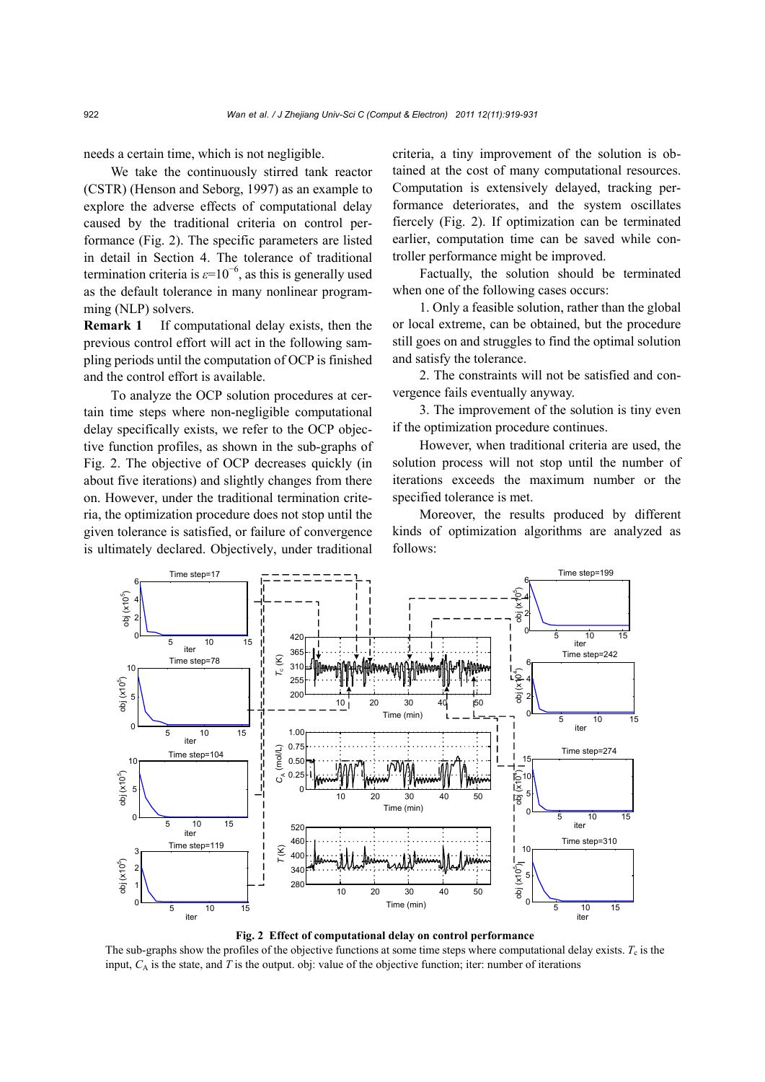needs a certain time, which is not negligible.

We take the continuously stirred tank reactor (CSTR) (Henson and Seborg, 1997) as an example to explore the adverse effects of computational delay caused by the traditional criteria on control performance (Fig. 2). The specific parameters are listed in detail in Section 4. The tolerance of traditional termination criteria is  $\varepsilon = 10^{-6}$ , as this is generally used as the default tolerance in many nonlinear programming (NLP) solvers.

**Remark 1** If computational delay exists, then the previous control effort will act in the following sampling periods until the computation of OCP is finished and the control effort is available.

To analyze the OCP solution procedures at certain time steps where non-negligible computational delay specifically exists, we refer to the OCP objective function profiles, as shown in the sub-graphs of Fig. 2. The objective of OCP decreases quickly (in about five iterations) and slightly changes from there on. However, under the traditional termination criteria, the optimization procedure does not stop until the given tolerance is satisfied, or failure of convergence is ultimately declared. Objectively, under traditional

criteria, a tiny improvement of the solution is obtained at the cost of many computational resources. Computation is extensively delayed, tracking performance deteriorates, and the system oscillates fiercely (Fig. 2). If optimization can be terminated earlier, computation time can be saved while controller performance might be improved.

Factually, the solution should be terminated when one of the following cases occurs:

1. Only a feasible solution, rather than the global or local extreme, can be obtained, but the procedure still goes on and struggles to find the optimal solution and satisfy the tolerance.

2. The constraints will not be satisfied and convergence fails eventually anyway.

3. The improvement of the solution is tiny even if the optimization procedure continues.

However, when traditional criteria are used, the solution process will not stop until the number of iterations exceeds the maximum number or the specified tolerance is met.

Moreover, the results produced by different kinds of optimization algorithms are analyzed as follows:





The sub-graphs show the profiles of the objective functions at some time steps where computational delay exists.  $T_c$  is the input,  $C_A$  is the state, and *T* is the output. obj: value of the objective function; iter: number of iterations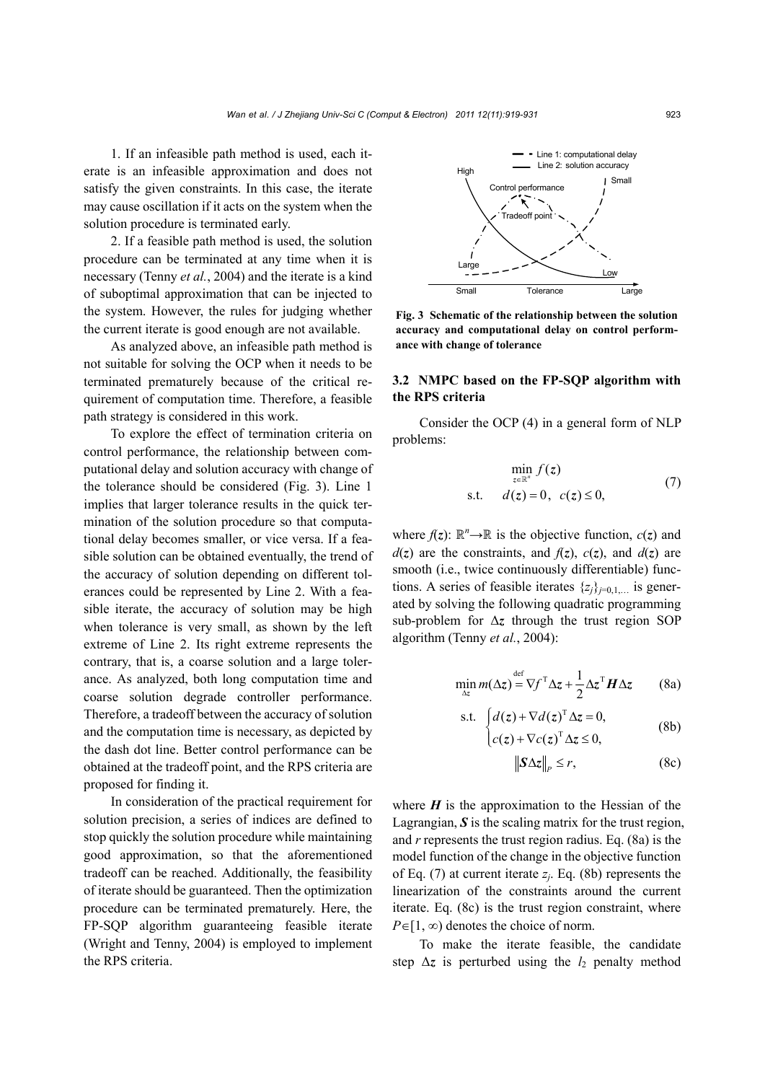1. If an infeasible path method is used, each iterate is an infeasible approximation and does not satisfy the given constraints. In this case, the iterate may cause oscillation if it acts on the system when the solution procedure is terminated early.

2. If a feasible path method is used, the solution procedure can be terminated at any time when it is necessary (Tenny *et al.*, 2004) and the iterate is a kind of suboptimal approximation that can be injected to the system. However, the rules for judging whether the current iterate is good enough are not available.

As analyzed above, an infeasible path method is not suitable for solving the OCP when it needs to be terminated prematurely because of the critical requirement of computation time. Therefore, a feasible path strategy is considered in this work.

To explore the effect of termination criteria on control performance, the relationship between computational delay and solution accuracy with change of the tolerance should be considered (Fig. 3). Line 1 implies that larger tolerance results in the quick termination of the solution procedure so that computational delay becomes smaller, or vice versa. If a feasible solution can be obtained eventually, the trend of the accuracy of solution depending on different tolerances could be represented by Line 2. With a feasible iterate, the accuracy of solution may be high when tolerance is very small, as shown by the left extreme of Line 2. Its right extreme represents the contrary, that is, a coarse solution and a large tolerance. As analyzed, both long computation time and coarse solution degrade controller performance. Therefore, a tradeoff between the accuracy of solution and the computation time is necessary, as depicted by the dash dot line. Better control performance can be obtained at the tradeoff point, and the RPS criteria are proposed for finding it.

In consideration of the practical requirement for solution precision, a series of indices are defined to stop quickly the solution procedure while maintaining good approximation, so that the aforementioned tradeoff can be reached. Additionally, the feasibility of iterate should be guaranteed. Then the optimization procedure can be terminated prematurely. Here, the FP-SQP algorithm guaranteeing feasible iterate (Wright and Tenny, 2004) is employed to implement the RPS criteria.



**Fig. 3 Schematic of the relationship between the solution accuracy and computational delay on control performance with change of tolerance**

## **3.2 NMPC based on the FP-SQP algorithm with the RPS criteria**

Consider the OCP (4) in a general form of NLP problems:

$$
\min_{z \in \mathbb{R}^n} f(z)
$$
  
s.t.  $d(z) = 0, c(z) \le 0,$  (7)

where  $f(z)$ :  $\mathbb{R}^n \rightarrow \mathbb{R}$  is the objective function,  $c(z)$  and  $d(z)$  are the constraints, and  $f(z)$ ,  $c(z)$ , and  $d(z)$  are smooth (i.e., twice continuously differentiable) functions. A series of feasible iterates  $\{z_i\}_{i=0,1}$  is generated by solving the following quadratic programming sub-problem for Δ*z* through the trust region SOP algorithm (Tenny *et al.*, 2004):

$$
\min_{\Delta z} m(\Delta z) = \nabla f^{\mathrm{T}} \Delta z + \frac{1}{2} \Delta z^{\mathrm{T}} H \Delta z \qquad (8a)
$$

s.t. 
$$
\begin{cases} d(z) + \nabla d(z)^{\mathrm{T}} \Delta z = 0, \\ c(z) + \nabla c(z)^{\mathrm{T}} \Delta z \le 0, \end{cases}
$$
 (8b)

$$
\mathbf{S}\Delta z\|_{P} \leq r,\tag{8c}
$$

where  $H$  is the approximation to the Hessian of the Lagrangian, *S* is the scaling matrix for the trust region, and *r* represents the trust region radius. Eq. (8a) is the model function of the change in the objective function of Eq.  $(7)$  at current iterate  $z_i$ . Eq.  $(8b)$  represents the linearization of the constraints around the current iterate. Eq. (8c) is the trust region constraint, where  $P \in [1, \infty)$  denotes the choice of norm.

To make the iterate feasible, the candidate step  $\Delta z$  is perturbed using the  $l_2$  penalty method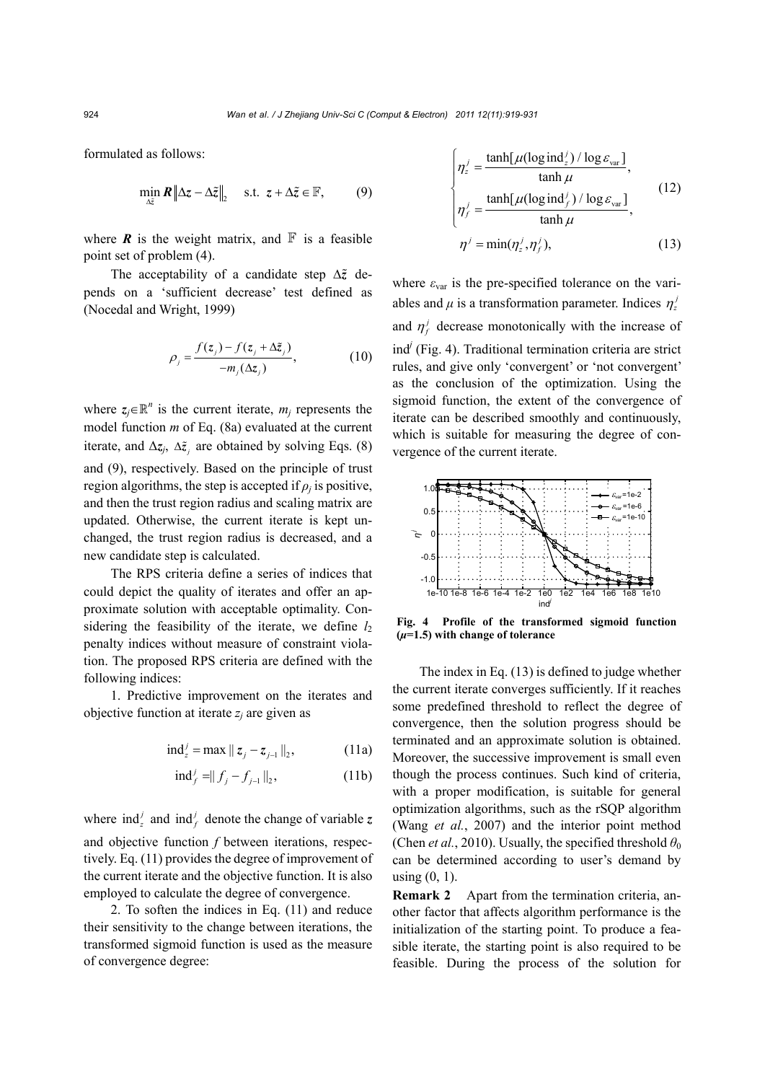formulated as follows:

$$
\min_{\Delta \tilde{z}} \mathbf{R} \|\Delta z - \Delta \tilde{z}\|_2 \quad \text{s.t. } z + \Delta \tilde{z} \in \mathbb{F}, \tag{9}
$$

where  $\vec{R}$  is the weight matrix, and  $\vec{F}$  is a feasible point set of problem (4).

The acceptability of a candidate step  $\Delta \tilde{z}$  depends on a 'sufficient decrease' test defined as (Nocedal and Wright, 1999)

$$
\rho_j = \frac{f(z_j) - f(z_j + \Delta \tilde{z}_j)}{-m_j(\Delta z_j)},
$$
\n(10)

where  $z_j \in \mathbb{R}^n$  is the current iterate,  $m_j$  represents the model function *m* of Eq. (8a) evaluated at the current iterate, and  $\Delta z_i$ ,  $\Delta \tilde{z}$ , are obtained by solving Eqs. (8) and (9), respectively. Based on the principle of trust region algorithms, the step is accepted if  $\rho_i$  is positive, and then the trust region radius and scaling matrix are updated. Otherwise, the current iterate is kept unchanged, the trust region radius is decreased, and a new candidate step is calculated.

The RPS criteria define a series of indices that could depict the quality of iterates and offer an approximate solution with acceptable optimality. Considering the feasibility of the iterate, we define  $l_2$ penalty indices without measure of constraint violation. The proposed RPS criteria are defined with the following indices:

1. Predictive improvement on the iterates and objective function at iterate *zj* are given as

$$
ind_z^j = \max ||z_j - z_{j-1}||_2, \qquad (11a)
$$

$$
\text{ind}_f^j = ||f_j - f_{j-1}||_2,\tag{11b}
$$

where  $\text{ind}_z^j$  and  $\text{ind}_f^j$  denote the change of variable z and objective function *f* between iterations, respectively. Eq. (11) provides the degree of improvement of the current iterate and the objective function. It is also employed to calculate the degree of convergence.

2. To soften the indices in Eq. (11) and reduce their sensitivity to the change between iterations, the transformed sigmoid function is used as the measure of convergence degree:

$$
\begin{cases}\n\eta_z' = \frac{\tanh[\mu(\log \text{ind}_z^j) / \log \varepsilon_{var}]}{\tanh \mu}, \\
\eta_j' = \frac{\tanh[\mu(\log \text{ind}_j^j) / \log \varepsilon_{var}]}{\tanh \mu}, \\
\eta_j' = \min(\eta_z^j, \eta_j'),\n\end{cases}
$$
\n(12)

where 
$$
\varepsilon_{var}
$$
 is the pre-specified tolerance on the vari-  
ables and  $\mu$  is a transformation parameter. Indices  $\eta_z^j$   
and  $\eta_f^j$  decrease monotonically with the increase of  
ind' (Fig. 4). Traditional termination criteria are strict  
rules, and give only 'convergent' or 'not convergent'  
as the conclusion of the optimization. Using the  
sigmoid function, the extent of the convergence of  
iterate can be described smoothly and continuously,  
which is suitable for measuring the degree of con-  
vergence of the current iterate.



**Fig. 4 Profile of the transformed sigmoid function (***μ***=1.5) with change of tolerance**

The index in Eq. (13) is defined to judge whether the current iterate converges sufficiently. If it reaches some predefined threshold to reflect the degree of convergence, then the solution progress should be terminated and an approximate solution is obtained. Moreover, the successive improvement is small even though the process continues. Such kind of criteria, with a proper modification, is suitable for general optimization algorithms, such as the rSQP algorithm (Wang *et al.*, 2007) and the interior point method (Chen *et al.*, 2010). Usually, the specified threshold  $\theta_0$ can be determined according to user's demand by using  $(0, 1)$ .

**Remark 2** Apart from the termination criteria, another factor that affects algorithm performance is the initialization of the starting point. To produce a feasible iterate, the starting point is also required to be feasible. During the process of the solution for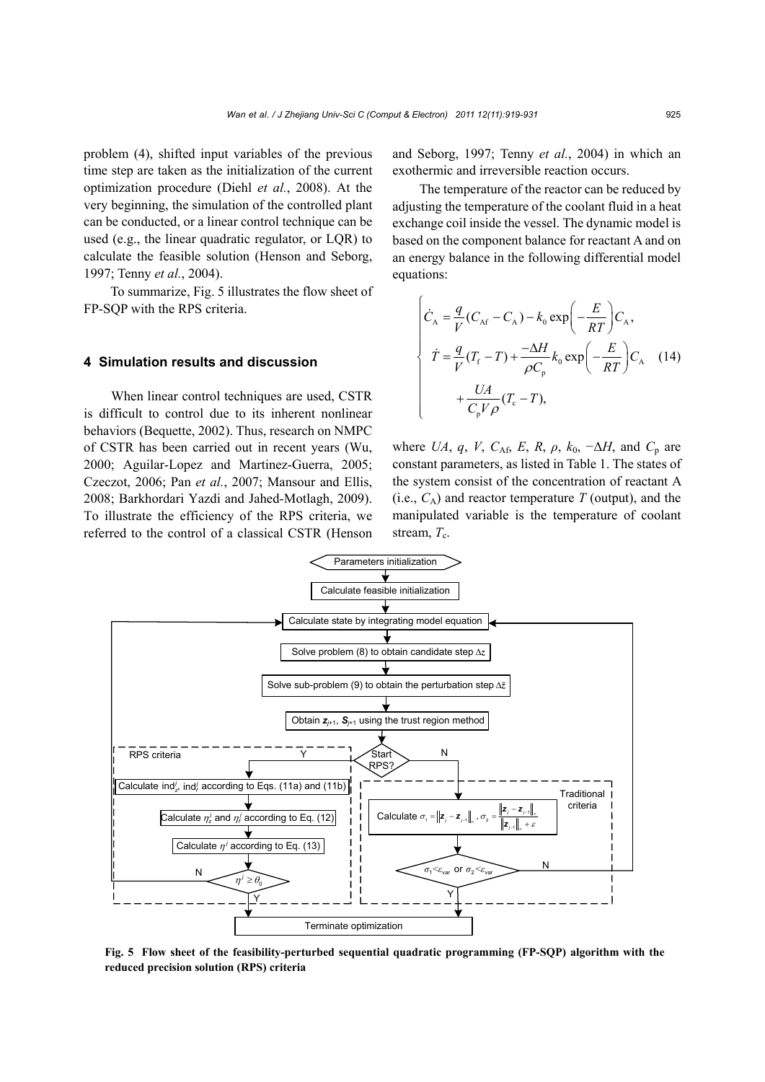problem (4), shifted input variables of the previous time step are taken as the initialization of the current optimization procedure (Diehl *et al.*, 2008). At the very beginning, the simulation of the controlled plant can be conducted, or a linear control technique can be used (e.g., the linear quadratic regulator, or LQR) to calculate the feasible solution (Henson and Seborg, 1997; Tenny *et al.*, 2004).

To summarize, Fig. 5 illustrates the flow sheet of FP-SQP with the RPS criteria.

#### **4 Simulation results and discussion**

When linear control techniques are used, CSTR is difficult to control due to its inherent nonlinear behaviors (Bequette, 2002). Thus, research on NMPC of CSTR has been carried out in recent years (Wu, 2000; Aguilar-Lopez and Martinez-Guerra, 2005; Czeczot, 2006; Pan *et al.*, 2007; Mansour and Ellis, 2008; Barkhordari Yazdi and Jahed-Motlagh, 2009). To illustrate the efficiency of the RPS criteria, we referred to the control of a classical CSTR (Henson and Seborg, 1997; Tenny *et al.*, 2004) in which an exothermic and irreversible reaction occurs.

The temperature of the reactor can be reduced by adjusting the temperature of the coolant fluid in a heat exchange coil inside the vessel. The dynamic model is based on the component balance for reactant A and on an energy balance in the following differential model equations:

$$
\begin{cases}\n\dot{C}_{\rm A} = \frac{q}{V}(C_{\rm Af} - C_{\rm A}) - k_0 \exp\left(-\frac{E}{RT}\right)C_{\rm A}, \\
\dot{T} = \frac{q}{V}(T_{\rm f} - T) + \frac{-\Delta H}{\rho C_{\rm p}}k_0 \exp\left(-\frac{E}{RT}\right)C_{\rm A} \quad (14) \\
+ \frac{UA}{C_{\rm p}V\rho}(T_{\rm c} - T),\n\end{cases}
$$

where *UA*, *q*, *V*, *C*Af, *E*, *R*, *ρ*, *k*0, −Δ*H*, and *C*p are constant parameters, as listed in Table 1. The states of the system consist of the concentration of reactant A (i.e.,  $C_A$ ) and reactor temperature *T* (output), and the manipulated variable is the temperature of coolant stream,  $T_c$ .



**Fig. 5 Flow sheet of the feasibility-perturbed sequential quadratic programming (FP-SQP) algorithm with the reduced precision solution (RPS) criteria**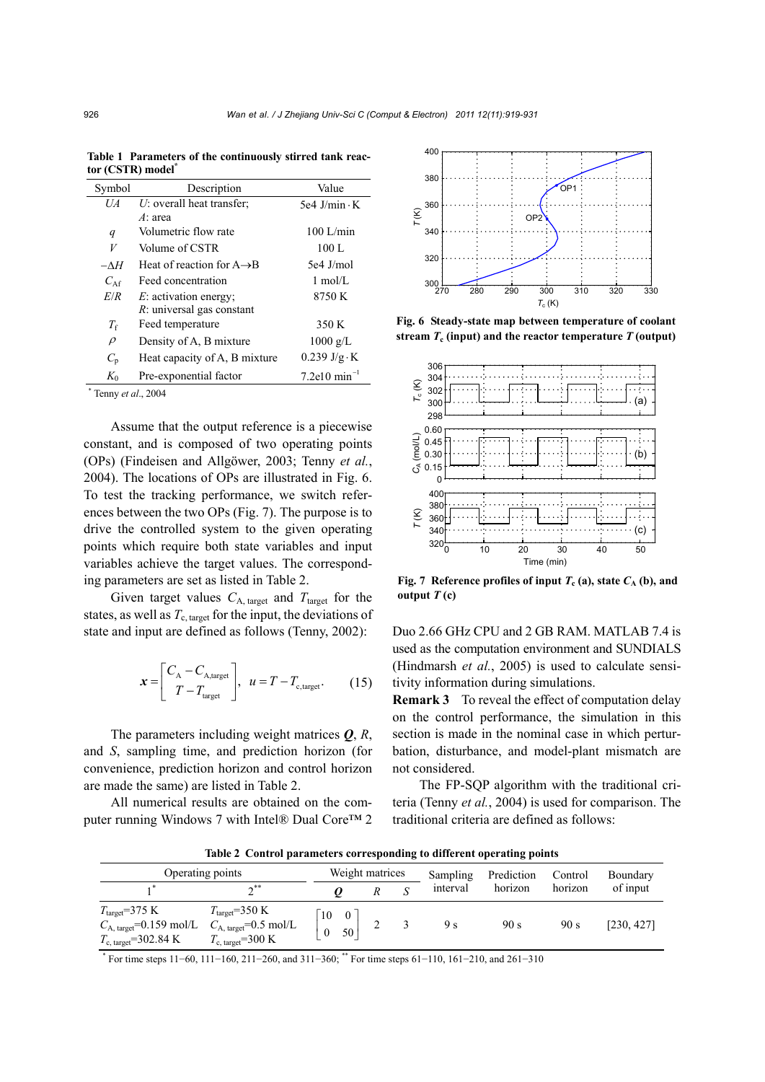| Symbol           | Description                            | Value                      |  |  |
|------------------|----------------------------------------|----------------------------|--|--|
| UA               | $U$ : overall heat transfer;           | 5e4 J/min $\cdot$ K        |  |  |
|                  | $A:$ area                              |                            |  |  |
| $\boldsymbol{q}$ | Volumetric flow rate                   | $100$ L/min                |  |  |
| V                | Volume of CSTR                         | 100 L                      |  |  |
| $-\Lambda H$     | Heat of reaction for $A \rightarrow B$ | 5e4 J/mol                  |  |  |
| $C_{\rm Af}$     | Feed concentration                     | $1 \text{ mol/L}$          |  |  |
| E/R              | $E$ : activation energy:               | 8750 K                     |  |  |
|                  | $R$ : universal gas constant           |                            |  |  |
| $T_{\rm f}$      | Feed temperature                       | 350 K                      |  |  |
| $\rho$           | Density of A, B mixture                | $1000 \text{ g/L}$         |  |  |
| $C_{\rm p}$      | Heat capacity of A, B mixture          | $0.239$ J/g $\cdot$ K      |  |  |
| $K_0$            | Pre-exponential factor                 | $7.2e10$ min <sup>-1</sup> |  |  |
|                  | $\sqrt{2}$                             |                            |  |  |

**Table 1 Parameters of the continuously stirred tank reactor (CSTR) model\***

\* Tenny *et al*., 2004

Assume that the output reference is a piecewise constant, and is composed of two operating points (OPs) (Findeisen and Allgöwer, 2003; Tenny *et al.*, 2004). The locations of OPs are illustrated in Fig. 6. To test the tracking performance, we switch references between the two OPs (Fig. 7). The purpose is to drive the controlled system to the given operating points which require both state variables and input variables achieve the target values. The corresponding parameters are set as listed in Table 2.

Given target values  $C_{A, \text{target}}$  and  $T_{\text{target}}$  for the states, as well as  $T_{c,\text{target}}$  for the input, the deviations of state and input are defined as follows (Tenny, 2002):

$$
\boldsymbol{x} = \begin{bmatrix} C_{\text{A}} - C_{\text{A,target}} \\ T - T_{\text{target}} \end{bmatrix}, \quad u = T - T_{\text{c,target}}.
$$
 (15)

The parameters including weight matrices *Q*, *R*, and *S*, sampling time, and prediction horizon (for convenience, prediction horizon and control horizon are made the same) are listed in Table 2.

All numerical results are obtained on the computer running Windows 7 with Intel® Dual Core™ 2



**Fig. 6 Steady-state map between temperature of coolant stream**  $T_c$  **(input) and the reactor temperature**  $T$  **(output)** 



**Fig. 7** Reference profiles of input  $T_c$  (a), state  $C_A$  (b), and **output**  $T(c)$ 

Duo 2.66 GHz CPU and 2 GB RAM. MATLAB 7.4 is used as the computation environment and SUNDIALS (Hindmarsh *et al.*, 2005) is used to calculate sensitivity information during simulations.

**Remark 3** To reveal the effect of computation delay on the control performance, the simulation in this section is made in the nominal case in which perturbation, disturbance, and model-plant mismatch are not considered.

The FP-SQP algorithm with the traditional criteria (Tenny *et al.*, 2004) is used for comparison. The traditional criteria are defined as follows:

**Table 2 Control parameters corresponding to different operating points**

| Operating points                                                                                                      |                                                                                                        | Weight matrices                      |  |  | Sampling | Prediction | Control | Boundary   |
|-----------------------------------------------------------------------------------------------------------------------|--------------------------------------------------------------------------------------------------------|--------------------------------------|--|--|----------|------------|---------|------------|
|                                                                                                                       | $\gamma^{**}$                                                                                          |                                      |  |  | interval | horizon    | horizon | of input   |
| $T_{\text{target}} = 375 \text{ K}$<br>$C_{A, \text{ target}} = 0.159 \text{ mol/L}$<br>$T_{\rm c, target}$ =302.84 K | $T_{\text{target}}$ =350 K<br>$C_{A, \text{target}} = 0.5 \text{ mol/L}$<br>$T_{\rm c, target}$ =300 K | $\mathbf{0}$<br>10<br>50<br>$\theta$ |  |  | 9 s      | 90 s       | 90 s    | [230, 427] |

\* For time steps 11−60, 111−160, 211−260, and 311−360; \*\* For time steps 61−110, 161−210, and 261−310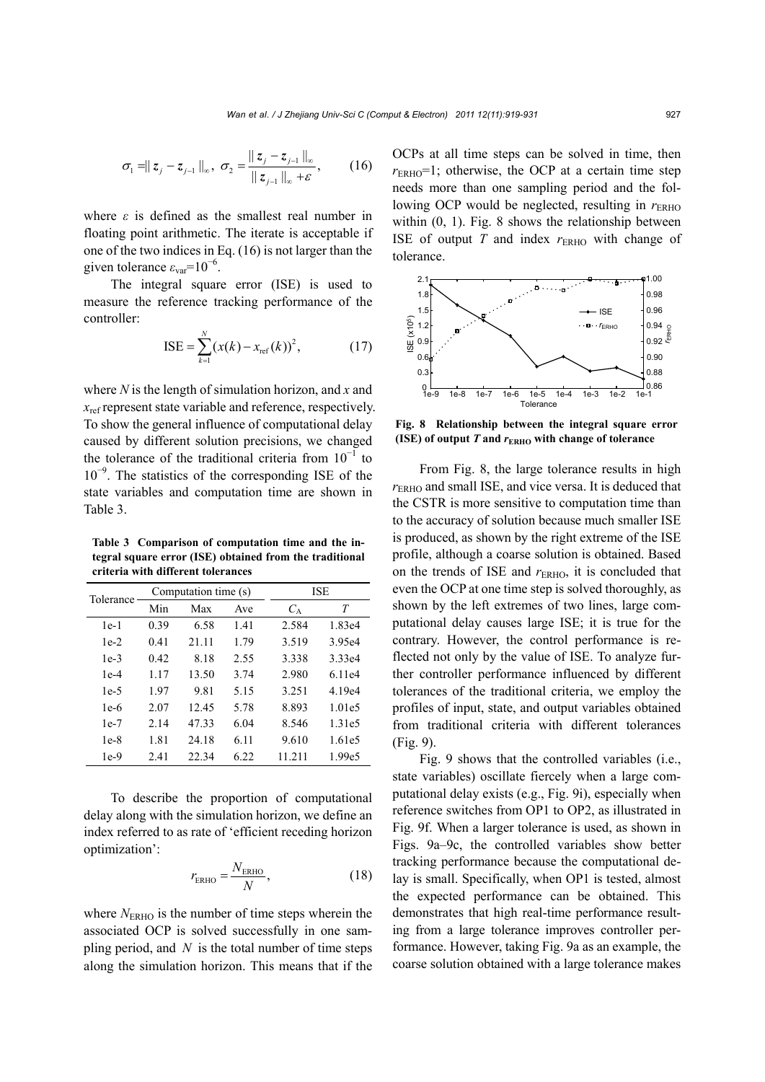$$
\sigma_1 = ||z_j - z_{j-1}||_{\infty}, \ \sigma_2 = \frac{||z_j - z_{j-1}||_{\infty}}{||z_{j-1}||_{\infty} + \varepsilon}, \qquad (16)
$$

where  $\varepsilon$  is defined as the smallest real number in floating point arithmetic. The iterate is acceptable if one of the two indices in Eq. (16) is not larger than the given tolerance  $\varepsilon_{\text{var}}$ =10<sup>-6</sup>.

The integral square error (ISE) is used to measure the reference tracking performance of the controller:

$$
ISE = \sum_{k=1}^{N} (x(k) - x_{ref}(k))^{2},
$$
 (17)

where *N* is the length of simulation horizon, and *x* and  $x_{ref}$  represent state variable and reference, respectively. To show the general influence of computational delay caused by different solution precisions, we changed the tolerance of the traditional criteria from  $10^{-1}$  to 10<sup>−</sup><sup>9</sup> . The statistics of the corresponding ISE of the state variables and computation time are shown in Table 3.

**Table 3 Comparison of computation time and the integral square error (ISE) obtained from the traditional criteria with different tolerances** 

| Tolerance |      | Computation time (s) | ISE  |             |        |
|-----------|------|----------------------|------|-------------|--------|
|           | Min  | Max                  | Ave  | $C_{\rm A}$ | T      |
| $1e-1$    | 0.39 | 6.58                 | 1.41 | 2.584       | 1.83e4 |
| $1e-2$    | 041  | 21.11                | 1.79 | 3.519       | 3.95e4 |
| $1e-3$    | 0.42 | 8.18                 | 2.55 | 3.338       | 3.33e4 |
| $1e-4$    | 1.17 | 13.50                | 3.74 | 2.980       | 6.11e4 |
| $1e-5$    | 1.97 | 9.81                 | 5.15 | 3.251       | 4.19e4 |
| $1e-6$    | 2.07 | 12.45                | 5.78 | 8.893       | 1.01e5 |
| $1e-7$    | 2.14 | 47.33                | 6.04 | 8.546       | 1.31e5 |
| $1e-8$    | 1.81 | 24.18                | 6.11 | 9.610       | 1.61e5 |
| $1e-9$    | 2.41 | 22.34                | 6.22 | 11 211      | 1.99e5 |

To describe the proportion of computational delay along with the simulation horizon, we define an index referred to as rate of 'efficient receding horizon optimization':

$$
r_{\text{ERHO}} = \frac{N_{\text{ERHO}}}{N},\tag{18}
$$

where  $N_{\text{ERHO}}$  is the number of time steps wherein the associated OCP is solved successfully in one sampling period, and  $N$  is the total number of time steps along the simulation horizon. This means that if the OCPs at all time steps can be solved in time, then  $r_{\text{ERHO}}=1$ ; otherwise, the OCP at a certain time step needs more than one sampling period and the following OCP would be neglected, resulting in  $r_{\text{FRHO}}$ within (0, 1). Fig. 8 shows the relationship between ISE of output  $T$  and index  $r_{\text{ERHO}}$  with change of tolerance.



**Fig. 8 Relationship between the integral square error (ISE)** of output  $T$  and  $r_{\text{ERHO}}$  with change of tolerance

From Fig. 8, the large tolerance results in high  $r_{\text{FRHO}}$  and small ISE, and vice versa. It is deduced that the CSTR is more sensitive to computation time than to the accuracy of solution because much smaller ISE is produced, as shown by the right extreme of the ISE profile, although a coarse solution is obtained. Based on the trends of ISE and  $r_{\text{ERHO}}$ , it is concluded that even the OCP at one time step is solved thoroughly, as shown by the left extremes of two lines, large computational delay causes large ISE; it is true for the contrary. However, the control performance is reflected not only by the value of ISE. To analyze further controller performance influenced by different tolerances of the traditional criteria, we employ the profiles of input, state, and output variables obtained from traditional criteria with different tolerances (Fig. 9).

Fig. 9 shows that the controlled variables (i.e., state variables) oscillate fiercely when a large computational delay exists (e.g., Fig. 9i), especially when reference switches from OP1 to OP2, as illustrated in Fig. 9f. When a larger tolerance is used, as shown in Figs. 9a–9c, the controlled variables show better tracking performance because the computational delay is small. Specifically, when OP1 is tested, almost the expected performance can be obtained. This demonstrates that high real-time performance resulting from a large tolerance improves controller performance. However, taking Fig. 9a as an example, the coarse solution obtained with a large tolerance makes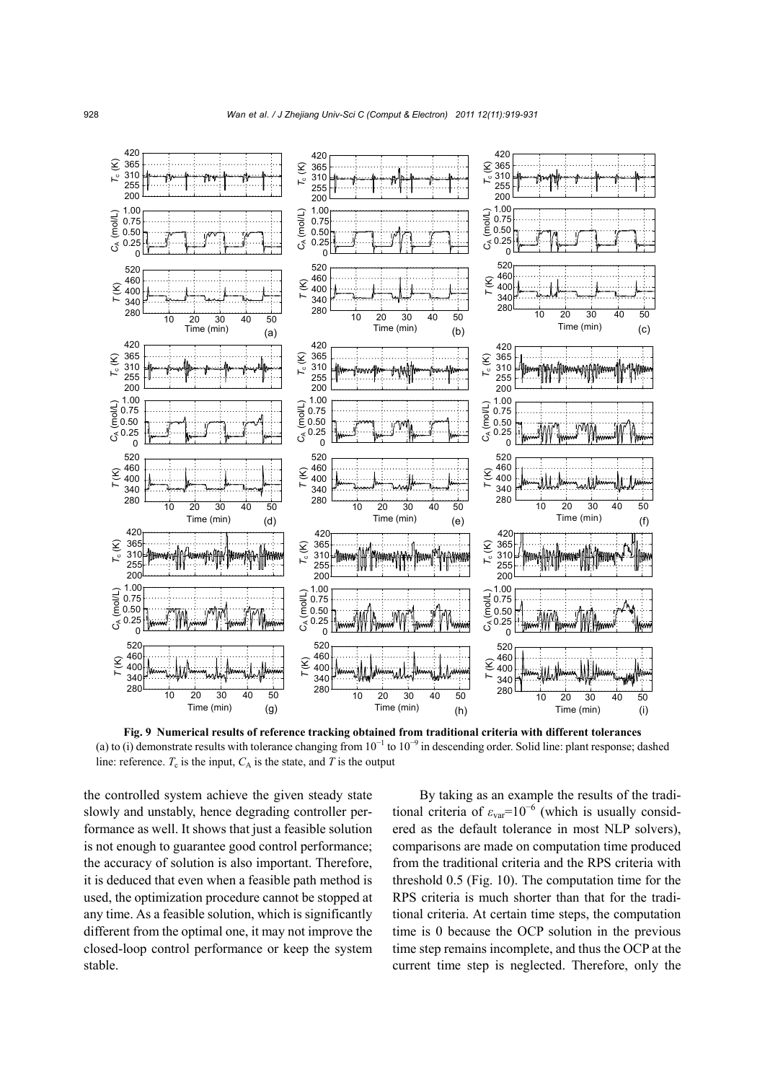

**Fig. 9 Numerical results of reference tracking obtained from traditional criteria with different tolerances**  (a) to (i) demonstrate results with tolerance changing from  $10^{-1}$  to  $10^{-9}$  in descending order. Solid line: plant response; dashed line: reference.  $T_c$  is the input,  $C_A$  is the state, and  $T$  is the output

the controlled system achieve the given steady state slowly and unstably, hence degrading controller performance as well. It shows that just a feasible solution is not enough to guarantee good control performance; the accuracy of solution is also important. Therefore, it is deduced that even when a feasible path method is used, the optimization procedure cannot be stopped at any time. As a feasible solution, which is significantly different from the optimal one, it may not improve the closed-loop control performance or keep the system stable.

By taking as an example the results of the traditional criteria of  $\varepsilon_{\text{var}}$ =10<sup>-6</sup> (which is usually considered as the default tolerance in most NLP solvers), comparisons are made on computation time produced from the traditional criteria and the RPS criteria with threshold 0.5 (Fig. 10). The computation time for the RPS criteria is much shorter than that for the traditional criteria. At certain time steps, the computation time is 0 because the OCP solution in the previous time step remains incomplete, and thus the OCP at the current time step is neglected. Therefore, only the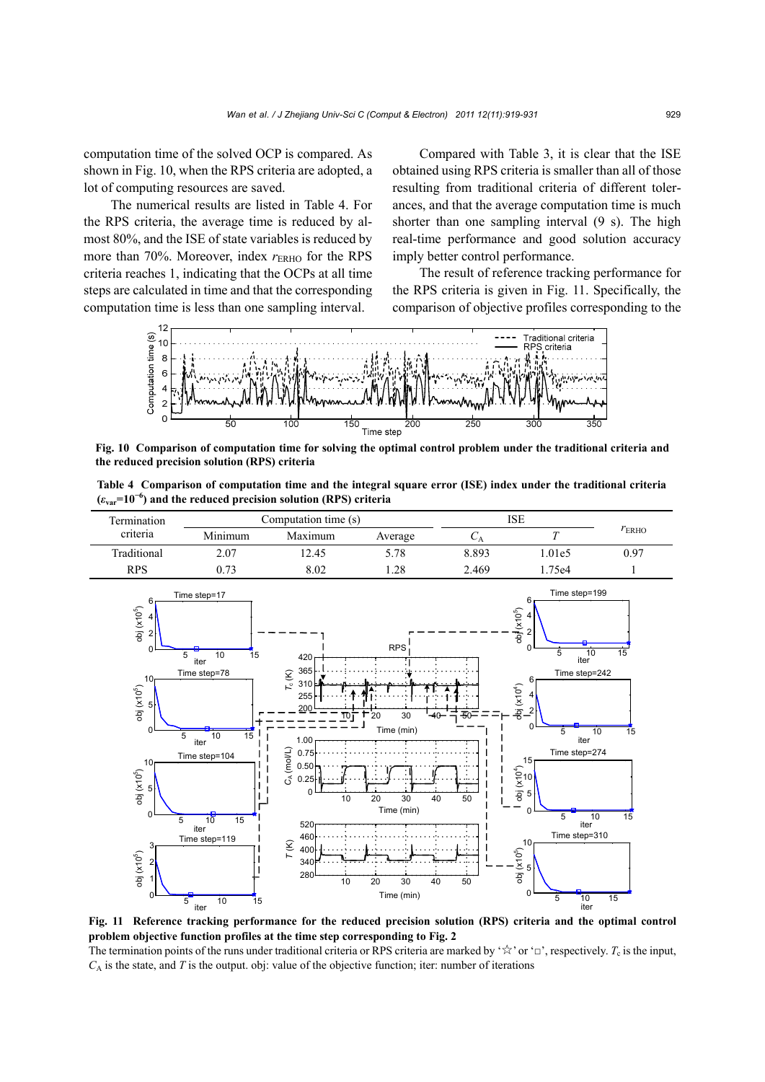computation time of the solved OCP is compared. As shown in Fig. 10, when the RPS criteria are adopted, a lot of computing resources are saved.

The numerical results are listed in Table 4. For the RPS criteria, the average time is reduced by almost 80%, and the ISE of state variables is reduced by more than 70%. Moreover, index  $r_{\text{ERHO}}$  for the RPS criteria reaches 1, indicating that the OCPs at all time steps are calculated in time and that the corresponding computation time is less than one sampling interval.

Compared with Table 3, it is clear that the ISE obtained using RPS criteria is smaller than all of those resulting from traditional criteria of different tolerances, and that the average computation time is much shorter than one sampling interval (9 s). The high real-time performance and good solution accuracy imply better control performance.

The result of reference tracking performance for the RPS criteria is given in Fig. 11. Specifically, the comparison of objective profiles corresponding to the



**Fig. 10 Comparison of computation time for solving the optimal control problem under the traditional criteria and the reduced precision solution (RPS) criteria** 

**Table 4 Comparison of computation time and the integral square error (ISE) index under the traditional criteria (***ε***var=10<sup>−</sup><sup>6</sup> ) and the reduced precision solution (RPS) criteria** 

| Termination |           | Computation time (s) |         | ISE   |        |                |
|-------------|-----------|----------------------|---------|-------|--------|----------------|
| criteria    | Minimum   | Maximum              | Average | ◡▵    |        | $r_{\rm ERHO}$ |
| Traditional | 2.07      | 12.45                | 5.78    | 8.893 | l.01e5 | 0.97           |
| <b>RPS</b>  | $0.7^{2}$ | 8.02                 | .28     | 2.469 | .75e4  |                |



**Fig. 11 Reference tracking performance for the reduced precision solution (RPS) criteria and the optimal control problem objective function profiles at the time step corresponding to Fig. 2**  The termination points of the runs under traditional criteria or RPS criteria are marked by ' $\forall x$ ' or ' $\Box$ ', respectively.  $T_c$  is the input,

 $C_A$  is the state, and *T* is the output. obj: value of the objective function; iter: number of iterations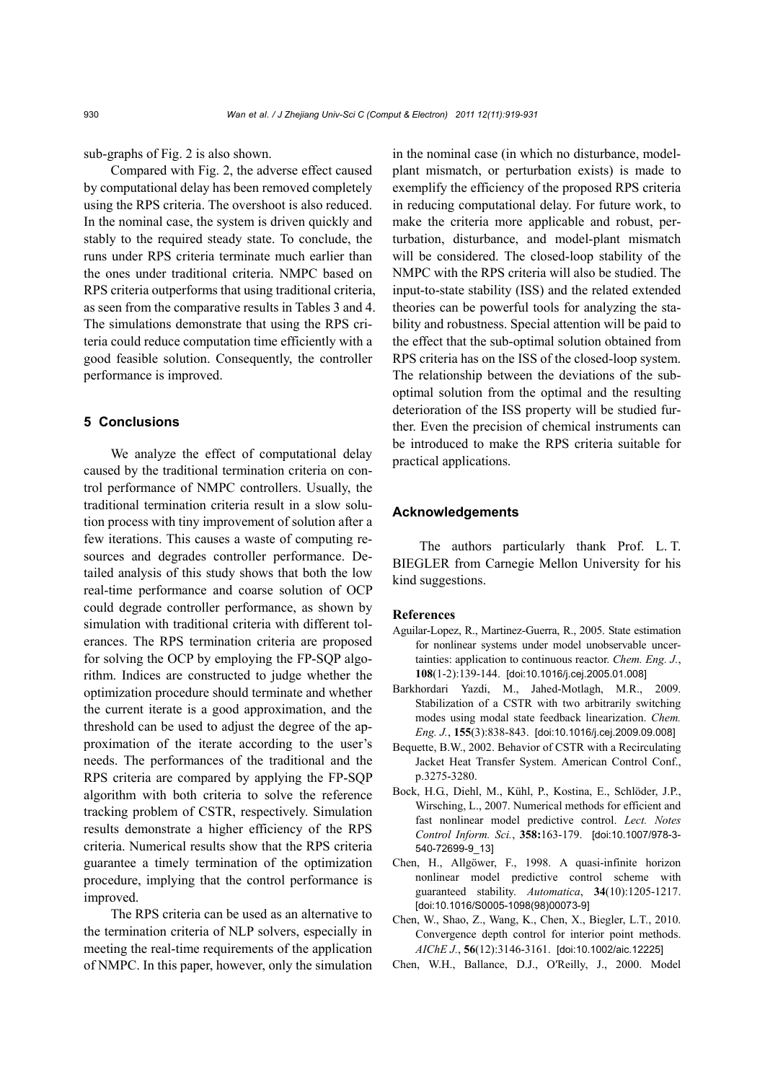sub-graphs of Fig. 2 is also shown.

Compared with Fig. 2, the adverse effect caused by computational delay has been removed completely using the RPS criteria. The overshoot is also reduced. In the nominal case, the system is driven quickly and stably to the required steady state. To conclude, the runs under RPS criteria terminate much earlier than the ones under traditional criteria. NMPC based on RPS criteria outperforms that using traditional criteria, as seen from the comparative results in Tables 3 and 4. The simulations demonstrate that using the RPS criteria could reduce computation time efficiently with a good feasible solution. Consequently, the controller performance is improved.

## **5 Conclusions**

We analyze the effect of computational delay caused by the traditional termination criteria on control performance of NMPC controllers. Usually, the traditional termination criteria result in a slow solution process with tiny improvement of solution after a few iterations. This causes a waste of computing resources and degrades controller performance. Detailed analysis of this study shows that both the low real-time performance and coarse solution of OCP could degrade controller performance, as shown by simulation with traditional criteria with different tolerances. The RPS termination criteria are proposed for solving the OCP by employing the FP-SQP algorithm. Indices are constructed to judge whether the optimization procedure should terminate and whether the current iterate is a good approximation, and the threshold can be used to adjust the degree of the approximation of the iterate according to the user's needs. The performances of the traditional and the RPS criteria are compared by applying the FP-SQP algorithm with both criteria to solve the reference tracking problem of CSTR, respectively. Simulation results demonstrate a higher efficiency of the RPS criteria. Numerical results show that the RPS criteria guarantee a timely termination of the optimization procedure, implying that the control performance is improved.

The RPS criteria can be used as an alternative to the termination criteria of NLP solvers, especially in meeting the real-time requirements of the application of NMPC. In this paper, however, only the simulation in the nominal case (in which no disturbance, modelplant mismatch, or perturbation exists) is made to exemplify the efficiency of the proposed RPS criteria in reducing computational delay. For future work, to make the criteria more applicable and robust, perturbation, disturbance, and model-plant mismatch will be considered. The closed-loop stability of the NMPC with the RPS criteria will also be studied. The input-to-state stability (ISS) and the related extended theories can be powerful tools for analyzing the stability and robustness. Special attention will be paid to the effect that the sub-optimal solution obtained from RPS criteria has on the ISS of the closed-loop system. The relationship between the deviations of the suboptimal solution from the optimal and the resulting deterioration of the ISS property will be studied further. Even the precision of chemical instruments can be introduced to make the RPS criteria suitable for practical applications.

## **Acknowledgements**

The authors particularly thank Prof. L. T. BIEGLER from Carnegie Mellon University for his kind suggestions.

#### **References**

- Aguilar-Lopez, R., Martinez-Guerra, R., 2005. State estimation for nonlinear systems under model unobservable uncertainties: application to continuous reactor. *Chem. Eng. J.*, **108**(1-2):139-144. [doi:10.1016/j.cej.2005.01.008]
- Barkhordari Yazdi, M., Jahed-Motlagh, M.R., 2009. Stabilization of a CSTR with two arbitrarily switching modes using modal state feedback linearization. *Chem. Eng. J.*, **155**(3):838-843. [doi:10.1016/j.cej.2009.09.008]
- Bequette, B.W., 2002. Behavior of CSTR with a Recirculating Jacket Heat Transfer System. American Control Conf., p.3275-3280.
- Bock, H.G., Diehl, M., Kühl, P., Kostina, E., Schlöder, J.P., Wirsching, L., 2007. Numerical methods for efficient and fast nonlinear model predictive control. *Lect. Notes Control Inform. Sci.*, **358:**163-179. [doi:10.1007/978-3- 540-72699-9\_13]
- Chen, H., Allgöwer, F., 1998. A quasi-infinite horizon nonlinear model predictive control scheme with guaranteed stability. *Automatica*, **34**(10):1205-1217. [doi:10.1016/S0005-1098(98)00073-9]
- Chen, W., Shao, Z., Wang, K., Chen, X., Biegler, L.T., 2010. Convergence depth control for interior point methods. *AIChE J.*, **56**(12):3146-3161. [doi:10.1002/aic.12225]
- Chen, W.H., Ballance, D.J., O′Reilly, J., 2000. Model